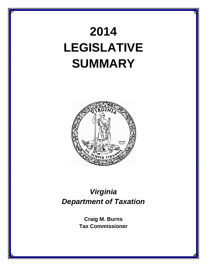# **2014 LEGISLATIVE SUMMARY**



## *Virginia Department of Taxation*

**Craig M. Burns Tax Commissioner**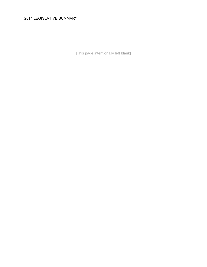[This page intentionally left blank]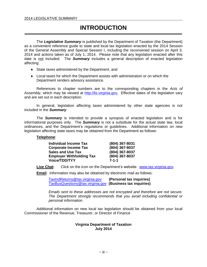## **INTRODUCTION**

The *Legislative Summary* is published by the Department of Taxation (the Department) as a convenient reference guide to state and local tax legislation enacted by the 2014 Session of the General Assembly and Special Session I, including the reconvened session on April 3, 2014 and actions taken as of July 1, 2014. Please note that any legislation enacted after this date is not included. The *Summary* includes a general description of enacted legislation affecting:

- ◆ State taxes administered by the Department, and
- Local taxes for which the Department assists with administration or on which the Department renders advisory assistance.

References to chapter numbers are to the corresponding chapters in the *Acts of*  Assembly, which may be viewed at [http://lis.virginia.gov.](http://lis.virginia.gov/) Effective dates of the legislation vary and are set out in each description.

In general, legislation affecting taxes administered by other state agencies is not included in the *Summary*.

The *Summary* is intended to provide a synopsis of enacted legislation and is for informational purposes only. The *Summary* is not a substitute for the actual state law, local ordinances, and the Department's regulations or guidelines. Additional information on new legislation affecting state taxes may be obtained from the Department as follows:

#### **Telephone**:

| <b>Individual Income Tax</b>    | (804) 367-8031 |
|---------------------------------|----------------|
| <b>Corporate Income Tax</b>     | (804) 367-8037 |
| <b>Sales and Use Tax</b>        | (804) 367-8037 |
| <b>Employer Withholding Tax</b> | (804) 367-8037 |
| Voice/TDD/TYY                   | $7 - 1 - 1$    |

**Live Chat:** Click on the icon on the Department's website: [www.tax.virginia.gov.](http://www.tax.virginia.gov/)

**Email**: Information may also be obtained by electronic mail as follows:

[TaxIndReturns@tax.virginia.gov](mailto:TaxIndReturns@tax.virginia.gov) **(Personal tax inquiries)** [TaxBusQuestions@tax.virginia.gov](mailto:TaxBusQuestions@tax.virginia.gov) **(Business tax inquiries)**

*Emails sent to these addresses are not encrypted and therefore are not secure. The Department strongly recommends that you avoid including confidential or personal information.*

Additional information on new local tax legislation should be obtained from your local Commissioner of the Revenue, Treasurer, or Director of Finance

#### **Virginia Department of Taxation July 2014**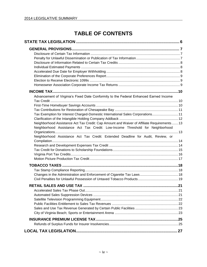## **TABLE OF CONTENTS**

| Advancement of Virginia's Fixed Date Conformity to the Federal Enhanced Earned Income                                                                                       |  |
|-----------------------------------------------------------------------------------------------------------------------------------------------------------------------------|--|
|                                                                                                                                                                             |  |
|                                                                                                                                                                             |  |
|                                                                                                                                                                             |  |
| Tax Exemption for Interest Charged-Domestic International Sales Corporations 11                                                                                             |  |
|                                                                                                                                                                             |  |
| Neighborhood Assistance Act Tax Credit: Cap Amount and Waiver of Affiliate Requirements 13<br>Neighborhood Assistance Act Tax Credit: Low-Income Threshold for Neighborhood |  |
|                                                                                                                                                                             |  |
| Neighborhood Assistance Act Tax Credit: Extended Deadline for Audit, Review, or                                                                                             |  |
|                                                                                                                                                                             |  |
|                                                                                                                                                                             |  |
|                                                                                                                                                                             |  |
|                                                                                                                                                                             |  |
|                                                                                                                                                                             |  |
|                                                                                                                                                                             |  |
|                                                                                                                                                                             |  |
|                                                                                                                                                                             |  |
|                                                                                                                                                                             |  |
|                                                                                                                                                                             |  |
|                                                                                                                                                                             |  |
|                                                                                                                                                                             |  |
|                                                                                                                                                                             |  |
|                                                                                                                                                                             |  |
|                                                                                                                                                                             |  |
|                                                                                                                                                                             |  |
|                                                                                                                                                                             |  |
|                                                                                                                                                                             |  |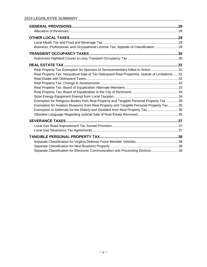| Business, Professional, and Occupational License Tax; Appeals of Classification 29               |  |
|--------------------------------------------------------------------------------------------------|--|
|                                                                                                  |  |
|                                                                                                  |  |
|                                                                                                  |  |
| Real Property Tax Exemption for Spouses of Servicemembers Killed in Action 31                    |  |
| Real Property Tax; Nonjudicial Sale of Tax Delinquent Real Properties; Statute of Limitations 31 |  |
|                                                                                                  |  |
|                                                                                                  |  |
|                                                                                                  |  |
|                                                                                                  |  |
|                                                                                                  |  |
| Exemption for Religious Bodies from Real Property and Tangible Personal Property Tax 35          |  |
| Exemption for Aviation Museums from Real Property and Tangible Personal Property Tax35           |  |
| Exemption or Deferrals for the Elderly and Disabled from Real Property Tax36                     |  |
|                                                                                                  |  |
|                                                                                                  |  |
|                                                                                                  |  |
|                                                                                                  |  |
|                                                                                                  |  |
|                                                                                                  |  |
|                                                                                                  |  |
| Separate Classification for Electronic Communication and Processing Devices39                    |  |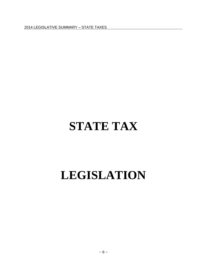## <span id="page-5-0"></span>**STATE TAX**

## **LEGISLATION**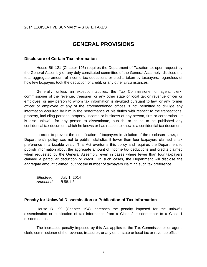## **GENERAL PROVISIONS**

#### <span id="page-6-1"></span><span id="page-6-0"></span>**Disclosure of Certain Tax Information**

House Bill 121 (Chapter 195) requires the Department of Taxation to, upon request by the General Assembly or any duly constituted committee of the General Assembly, disclose the total aggregate amount of income tax deductions or credits taken by taxpayers, regardless of how few taxpayers took the deduction or credit, or any other circumstances.

Generally, unless an exception applies, the Tax Commissioner or agent, clerk, commissioner of the revenue, treasurer, or any other state or local tax or revenue officer or employee, or any person to whom tax information is divulged pursuant to law, or any former officer or employee of any of the aforementioned offices is not permitted to divulge any information acquired by him in the performance of his duties with respect to the transactions, property, including personal property, income or business of any person, firm or corporation. It is also unlawful for any person to disseminate, publish, or cause to be published any confidential tax document which he knows or has reason to know is a confidential tax document.

In order to prevent the identification of taxpayers in violation of the disclosure laws, the Department's policy was not to publish statistics if fewer than four taxpayers claimed a tax preference in a taxable year. This Act overturns this policy and requires the Department to publish information about the aggregate amount of income tax deductions and credits claimed when requested by the General Assembly, even in cases where fewer than four taxpayers claimed a particular deduction or credit. In such cases, the Department will disclose the aggregate amount claimed, but not the number of taxpayers claiming such tax preference.

*Effective*: July 1, 2014 *Amended*: § 58.1-3

#### <span id="page-6-2"></span>**Penalty for Unlawful Dissemination or Publication of Tax Information**

House Bill 99 (Chapter 194) increases the penalty imposed for the unlawful dissemination or publication of tax information from a Class 2 misdemeanor to a Class 1 misdemeanor.

The increased penalty imposed by this Act applies to the Tax Commissioner or agent, clerk, commissioner of the revenue, treasurer, or any other state or local tax or revenue officer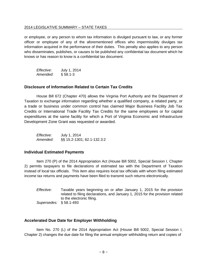or employee, or any person to whom tax information is divulged pursuant to law, or any former officer or employee of any of the aforementioned offices who impermissibly divulges tax information acquired in the performance of their duties. This penalty also applies to any person who disseminates, publishes, or causes to be published any confidential tax document which he knows or has reason to know is a confidential tax document.

*Effective*: July 1, 2014 *Amended*: § 58.1-3

#### <span id="page-7-0"></span>**Disclosure of Information Related to Certain Tax Credits**

House Bill 672 (Chapter 470) allows the Virginia Port Authority and the Department of Taxation to exchange information regarding whether a qualified company, a related party, or a trade or business under common control has claimed Major Business Facility Job Tax Credits or International Trade Facility Tax Credits for the same employees or for capital expenditures at the same facility for which a Port of Virginia Economic and Infrastructure Development Zone Grant was requested or awarded.

| Effective: | July 1, 2014               |
|------------|----------------------------|
| Amended:   | §§ 15.2-1301; 62.1-132.3:2 |

#### <span id="page-7-1"></span>**Individual Estimated Payments**

Item 270 (P) of the 2014 Appropriation Act (House Bill 5002, Special Session I, Chapter 2) permits taxpayers to file declarations of estimated tax with the Department of Taxation instead of local tax officials. This item also requires local tax officials with whom filing estimated income tax returns and payments have been filed to transmit such returns electronically.

*Effective:* Taxable years beginning on or after January 1, 2015 for the provision related to filing declarations, and January 1, 2015 for the provision related to the electronic filing. *Supersedes:* § 58.1-493

#### <span id="page-7-2"></span>**Accelerated Due Date for Employer Withholding**

Item No. 270 (L) of the 2014 Appropriation Act (House Bill 5002, Special Session I, Chapter 2) changes the due date for filing the annual employer withholding return and copies of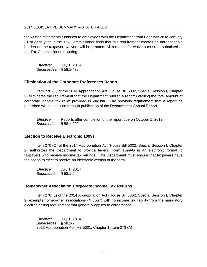the written statements furnished to employees with the Department from February 28 to January 31 of each year. If the Tax Commissioner finds that this requirement creates an unreasonable burden on the taxpayer, waivers will be granted. All requests for waivers must be submitted to the Tax Commissioner in writing.

*Effective:* July 1, 2014 *Supersedes:* § 58.1-478

#### <span id="page-8-0"></span>**Elimination of the Corporate Preferences Report**

Item 270 (K) of the 2014 Appropriation Act (House Bill 5002, Special Session I, Chapter 2) eliminates the requirement that the Department publish a report detailing the total amount of corporate income tax relief provided in Virginia. The previous requirement that a report be published will be satisfied through publication of the Department's Annual Report.

*Effective:* Reports after completion of the report due on October 1, 2013 *Supersedes:* § 58.1-202

#### <span id="page-8-1"></span>**Election to Receive Electronic 1099s**

Item 270 (Q) of the 2014 Appropriation Act (House Bill 5002, Special Session I, Chapter 2) authorizes the Department to provide federal Form 1099-G in an electronic format to taxpayers who receive income tax refunds. The Department must ensure that taxpayers have the option to elect to receive an electronic version of the form.

*Effective:* July 1, 2014 *Supersedes:* § 58.1-9

#### <span id="page-8-2"></span>**Homeowner Association Corporate Income Tax Returns**

Item 270 (L) of the 2014 Appropriation Act (House Bill 5002, Special Session I, Chapter 2) exempts homeowner associations ("HOAs") with no income tax liability from the mandatory electronic filing requirement that generally applies to corporations.

*Effective:* July 1, 2014 *Supersedes:* § 58.1-9 2013 Appropriation Act (HB 5001, Chapter 1) Item 273 (A)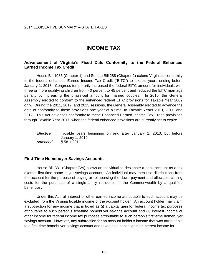## **INCOME TAX**

#### <span id="page-9-1"></span><span id="page-9-0"></span>**Advancement of Virginia's Fixed Date Conformity to the Federal Enhanced Earned Income Tax Credit**

House Bill 1085 (Chapter 1) and Senate Bill 288 (Chapter 2) extend Virginia's conformity to the federal enhanced Earned Income Tax Credit ("EITC") to taxable years ending before January 1, 2018. Congress temporarily increased the federal EITC amount for individuals with three or more qualifying children from 40 percent to 45 percent and reduced the EITC marriage penalty by increasing the phase-out amount for married couples. In 2010, the General Assembly elected to conform to the enhanced federal EITC provisions for Taxable Year 2009 only. During the 2011, 2012, and 2013 sessions, the General Assembly elected to advance the date of conformity to these provisions one year at a time, to Taxable Years 2010, 2011, and 2012. This Act advances conformity to these Enhanced Earned Income Tax Credit provisions through Taxable Year 2017, when the federal enhanced provisions are currently set to expire.

*Effective:* Taxable years beginning on and after January 1, 2013, but before January 1, 2019 *Amended:* § 58.1-301

#### <span id="page-9-2"></span>**First-Time Homebuyer Savings Accounts**

House Bill 331 (Chapter 729) allows an individual to designate a bank account as a tax exempt first-time home buyer savings account. An individual may then use distributions from the account for the purpose of paying or reimbursing the down payment and allowable closing costs for the purchase of a single-family residence in the Commonwealth by a qualified beneficiary.

Under this Act, all interest or other earned income attributable to such account may be excluded from the Virginia taxable income of the account holder. An account holder may claim a subtraction for any income that is taxed as (i) a capital gain for federal income tax purposes attributable to such person's first-time homebuyer savings account and (ii) interest income or other income for federal income tax purposes attributable to such person's first-time homebuyer savings account. However, any subtraction for an account holder's income that was attributable to a first-time homebuyer savings account and taxed as a capital gain or interest income for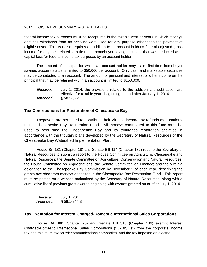federal income tax purposes must be recaptured in the taxable year or years in which moneys or funds withdrawn from an account were used for any purpose other than the payment of eligible costs. This Act also requires an addition to an account holder's federal adjusted gross income for any loss related to a first-time homebuyer savings account that was deducted as a capital loss for federal income tax purposes by an account holder.

The amount of principal for which an account holder may claim first-time homebuyer savings account status is limited to \$50,000 per account. Only cash and marketable securities may be contributed to an account. The amount of principal and interest or other income on the principal that may be retained within an account is limited to \$150,000.

*Effective*: July 1, 2014; the provisions related to the addition and subtraction are effective for taxable years beginning on and after January 1, 2014 *Amended*: § 58.1-322

#### <span id="page-10-0"></span>**Tax Contributions for Restoration of Chesapeake Bay**

Taxpayers are permitted to contribute their Virginia income tax refunds as donations to the Chesapeake Bay Restoration Fund. All moneys contributed to this fund must be used to help fund the Chesapeake Bay and its tributaries restoration activities in accordance with the tributary plans developed by the Secretary of Natural Resources or the Chesapeake Bay Watershed Implementation Plan.

House Bill 131 (Chapter 18) and Senate Bill 414 (Chapter 182) require the Secretary of Natural Resources to submit a report to the House Committee on Agriculture, Chesapeake and Natural Resources; the Senate Committee on Agriculture, Conservation and Natural Resources; the House Committee on Appropriations; the Senate Committee on Finance; and the Virginia delegation to the Chesapeake Bay Commission by November 1 of each year, describing the grants awarded from moneys deposited in the Chesapeake Bay Restoration Fund. This report must be posted on a website maintained by the Secretary of Natural Resources, along with a cumulative list of previous grant awards beginning with awards granted on or after July 1, 2014.

| Effective: | July 1, 2014     |
|------------|------------------|
| Amended:   | $§ 58.1 - 344.3$ |

#### <span id="page-10-1"></span>**Tax Exemption for Interest Charged-Domestic International Sales Corporations**

House Bill 480 (Chapter 26) and Senate Bill 515 (Chapter 186) exempt Interest Charged-Domestic International Sales Corporations ("IC-DISCs") from the corporate income tax, the minimum tax on telecommunications companies, and the tax imposed on electric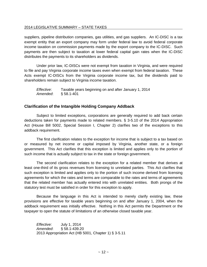suppliers, pipeline distribution companies, gas utilities, and gas suppliers. An IC-DISC is a tax exempt entity that an export company may form under federal law to avoid federal corporate income taxation on commission payments made by the export company to the IC-DISC. Such payments are then subject to taxation at lower federal capital gain rates when the IC-DISC distributes the payments to its shareholders as dividends.

Under prior law, IC-DISCs were not exempt from taxation in Virginia, and were required to file and pay Virginia corporate income taxes even when exempt from federal taxation. These Acts exempt IC-DISCs from the Virginia corporate income tax, but the dividends paid to shareholders remain subject to Virginia income taxation.

*Effective*: Taxable years beginning on and after January 1, 2014 *Amended*: § 58.1-401

#### <span id="page-11-0"></span>**Clarification of the Intangible Holding Company Addback**

Subject to limited exceptions, corporations are generally required to add back certain deductions taken for payments made to related members. § 3-5.10 of the 2014 Appropriation Act (House Bill 5002, Special Session I, Chapter 2) clarifies two of the exceptions to this addback requirement.

The first clarification relates to the exception for income that is subject to a tax based on or measured by net income or capital imposed by Virginia, another state, or a foreign government. This Act clarifies that this exception is limited and applies only to the portion of such income that is actually subject to tax in the state or foreign government.

The second clarification relates to the exception for a related member that derives at least one-third of its gross revenues from licensing to unrelated parties. This Act clarifies that such exception is limited and applies only to the portion of such income derived from licensing agreements for which the rates and terms are comparable to the rates and terms of agreements that the related member has actually entered into with unrelated entities. Both prongs of the statutory test must be satisfied in order for this exception to apply.

Because the language in this Act is intended to merely clarify existing law, these provisions are effective for taxable years beginning on and after January 1, 2004, when the addback requirement was initially effective. Nothing in this Act permits the Department or the taxpayer to open the statute of limitations of an otherwise closed taxable year.

*Effective:* July 1, 2014 *Amended*: § 58.1-439.20 2013 Appropriation Act (HB 5001, Chapter 1) § 3-5.11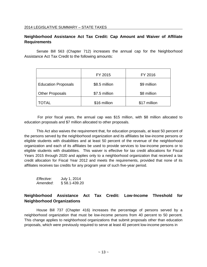#### <span id="page-12-0"></span>**Neighborhood Assistance Act Tax Credit: Cap Amount and Waiver of Affiliate Requirements**

Senate Bill 563 (Chapter 712) increases the annual cap for the Neighborhood Assistance Act Tax Credit to the following amounts:

|                            | FY 2015       | FY 2016      |
|----------------------------|---------------|--------------|
| <b>Education Proposals</b> | \$8.5 million | \$9 million  |
| <b>Other Proposals</b>     | \$7.5 million | \$8 million  |
| <b>TOTAL</b>               | \$16 million  | \$17 million |

For prior fiscal years, the annual cap was \$15 million, with \$8 million allocated to education proposals and \$7 million allocated to other proposals.

This Act also waives the requirement that, for education proposals, at least 50 percent of the persons served by the neighborhood organization and its affiliates be low-income persons or eligible students with disabilities and at least 50 percent of the revenue of the neighborhood organization and each of its affiliates be used to provide services to low-income persons or to eligible students with disabilities. This waiver is effective for tax credit allocations for Fiscal Years 2015 through 2020 and applies only to a neighborhood organization that received a tax credit allocation for Fiscal Year 2012 and meets the requirements, provided that none of its affiliates receives tax credits for any program year of such five-year period.

| Effective: | July 1, 2014 |
|------------|--------------|
| Amended:   | §58.1-439.20 |

#### <span id="page-12-1"></span>**Neighborhood Assistance Act Tax Credit: Low-Income Threshold for Neighborhood Organizations**

House Bill 737 (Chapter 416) increases the percentage of persons served by a neighborhood organization that must be low-income persons from 40 percent to 50 percent. This change applies to neighborhood organizations that submit proposals other than education proposals, which were previously required to serve at least 40 percent low-income persons in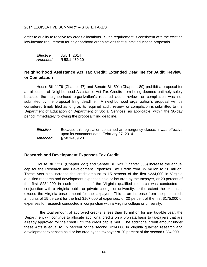order to qualify to receive tax credit allocations. Such requirement is consistent with the existing low-income requirement for neighborhood organizations that submit education proposals.

| <i>Effective:</i> | July 1, 2014      |
|-------------------|-------------------|
| Amended:          | $§ 58.1 - 439.20$ |

#### <span id="page-13-0"></span>**Neighborhood Assistance Act Tax Credit: Extended Deadline for Audit, Review, or Compilation**

House Bill 1179 (Chapter 47) and Senate Bill 591 (Chapter 189) prohibit a proposal for an allocation of Neighborhood Assistance Act Tax Credits from being deemed untimely solely because the neighborhood organization's required audit, review, or compilation was not submitted by the proposal filing deadline. A neighborhood organization's proposal will be considered timely filed as long as its required audit, review, or compilation is submitted to the Department of Education or Department of Social Services, as applicable, within the 30-day period immediately following the proposal filing deadline.

*Effective:* Because this legislation contained an emergency clause, it was effective upon its enactment date, February 27, 2014 *Amended*: § 58.1-439.20

#### <span id="page-13-1"></span>**Research and Development Expenses Tax Credit**

House Bill 1220 (Chapter 227) and Senate Bill 623 (Chapter 306) increase the annual cap for the Research and Development Expenses Tax Credit from \$5 million to \$6 million. These Acts also increase the credit amount to 15 percent of the first \$234,000 in Virginia qualified research and development expenses paid or incurred by the taxpayer, or 20 percent of the first \$234,000 in such expenses if the Virginia qualified research was conducted in conjunction with a Virginia public or private college or university, to the extent the expenses exceed the Virginia base amount for the taxpayer. This is an increase from the prior credit amounts of 15 percent for the first \$167,000 of expenses, or 20 percent of the first \$175,000 of expenses for research conducted in conjunction with a Virginia college or university.

If the total amount of approved credits is less than \$6 million for any taxable year, the Department will continue to allocate additional credits on a pro rata basis to taxpayers that are already approved for the credit until the credit cap is met. The additional credit amount under these Acts is equal to 15 percent of the second \$234,000 in Virginia qualified research and development expenses paid or incurred by the taxpayer or 20 percent of the second \$234,000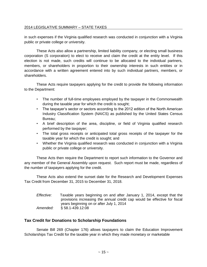in such expenses if the Virginia qualified research was conducted in conjunction with a Virginia public or private college or university.

These Acts also allow a partnership, limited liability company, or electing small business corporation (S corporation) to elect to receive and claim the credit at the entity level. If this election is not made, such credits will continue to be allocated to the individual partners, members, or shareholders in proportion to their ownership interests in such entities or in accordance with a written agreement entered into by such individual partners, members, or shareholders.

These Acts require taxpayers applying for the credit to provide the following information to the Department:

- The number of full-time employees employed by the taxpayer in the Commonwealth during the taxable year for which the credit is sought;
- The taxpayer's sector or sectors according to the 2012 edition of the North American Industry Classification System (NAICS) as published by the United States Census Bureau;
- A brief description of the area, discipline, or field of Virginia qualified research performed by the taxpayer;
- The total gross receipts or anticipated total gross receipts of the taxpayer for the taxable year for which the credit is sought; and
- Whether the Virginia qualified research was conducted in conjunction with a Virginia public or private college or university.

These Acts then require the Department to report such information to the Governor and any member of the General Assembly upon request. Such report must be made, regardless of the number of taxpayers applying for the credit.

These Acts also extend the sunset date for the Research and Development Expenses Tax Credit from December 31, 2015 to December 31, 2018.

*Effective:* Taxable years beginning on and after January 1, 2014, except that the provisions increasing the annual credit cap would be effective for fiscal years beginning on or after July 1, 2014 *Amended:* § 58.1-439.12:08

#### <span id="page-14-0"></span>**Tax Credit for Donations to Scholarship Foundations**

Senate Bill 269 (Chapter 176) allows taxpayers to claim the Education Improvement Scholarships Tax Credit for the taxable year in which they made monetary or marketable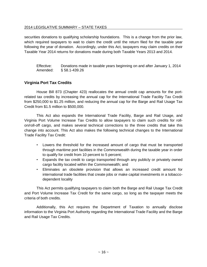securities donations to qualifying scholarship foundations. This is a change from the prior law, which required taxpayers to wait to claim the credit until the return filed for the taxable year following the year of donation. Accordingly, under this Act, taxpayers may claim credits on their Taxable Year 2014 returns for donations made during both Taxable Years 2013 and 2014.

Effective: Donations made in taxable years beginning on and after January 1, 2014 Amended: § 58.1-439.26

#### <span id="page-15-0"></span>**Virginia Port Tax Credits**

House Bill 873 (Chapter 423) reallocates the annual credit cap amounts for the portrelated tax credits by increasing the annual cap for the International Trade Facility Tax Credit from \$250,000 to \$1.25 million, and reducing the annual cap for the Barge and Rail Usage Tax Credit from \$1.5 million to \$500,000.

This Act also expands the International Trade Facility, Barge and Rail Usage, and Virginia Port Volume Increase Tax Credits to allow taxpayers to claim such credits for rollon/roll-off cargo, and makes several technical corrections to the three credits that take this change into account. This Act also makes the following technical changes to the International Trade Facility Tax Credit:

- Lowers the threshold for the increased amount of cargo that must be transported through maritime port facilities in the Commonwealth during the taxable year in order to qualify for credit from 10 percent to 5 percent;
- Expands the tax credit to cargo transported through any publicly or privately owned cargo facility located within the Commonwealth; and
- Eliminates an obsolete provision that allows an increased credit amount for international trade facilities that create jobs or make capital investments in a tobaccodependent locality

This Act permits qualifying taxpayers to claim both the Barge and Rail Usage Tax Credit and Port Volume Increase Tax Credit for the same cargo, so long as the taxpayer meets the criteria of both credits.

Additionally, this Act requires the Department of Taxation to annually disclose information to the Virginia Port Authority regarding the International Trade Facility and the Barge and Rail Usage Tax Credits.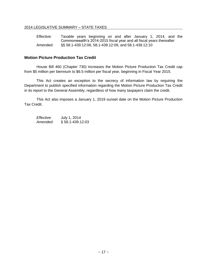Effective: Taxable years beginning on and after January 1, 2014, and the Commonwealth's 2014-2015 fiscal year and all fiscal years thereafter Amended: §§ 58.1-439.12:06, 58.1-439.12:09, and 58.1-439.12:10

#### <span id="page-16-0"></span>**Motion Picture Production Tax Credit**

House Bill 460 (Chapter 730) increases the Motion Picture Production Tax Credit cap from \$5 million per biennium to \$6.5 million per fiscal year, beginning in Fiscal Year 2015.

This Act creates an exception to the secrecy of information law by requiring the Department to publish specified information regarding the Motion Picture Production Tax Credit in its report to the General Assembly, regardless of how many taxpayers claim the credit.

This Act also imposes a January 1, 2019 sunset date on the Motion Picture Production Tax Credit.

*Effective*: July 1, 2014 *Amended:* § 58.1-439.12:03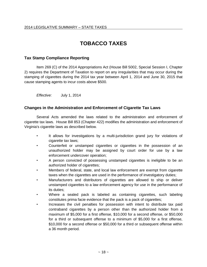## **TOBACCO TAXES**

#### <span id="page-17-1"></span><span id="page-17-0"></span>**Tax Stamp Compliance Reporting**

Item 269 (C) of the 2014 Appropriations Act (House Bill 5002, Special Session I, Chapter 2) requires the Department of Taxation to report on any irregularities that may occur during the stamping of cigarettes during the 2014 tax year between April 1, 2014 and June 30, 2015 that cause stamping agents to incur costs above \$500.

*Effective:* July 1, 2014

#### <span id="page-17-2"></span>**Changes in the Administration and Enforcement of Cigarette Tax Laws**

Several Acts amended the laws related to the administration and enforcement of cigarette tax laws. House Bill 853 (Chapter 422) modifies the administration and enforcement of Virginia's cigarette laws as described below.

- It allows for investigations by a multi-jurisdiction grand jury for violations of cigarette tax laws;
- Counterfeit or unstamped cigarettes or cigarettes in the possession of an unauthorized holder may be assigned by court order for use by a law enforcement undercover operation;
- A person convicted of possessing unstamped cigarettes is ineligible to be an authorized holder of cigarettes;
- Members of federal, state, and local law enforcement are exempt from cigarette taxes when the cigarettes are used in the performance of investigatory duties;
- Manufacturers and distributors of cigarettes are allowed to ship or deliver unstamped cigarettes to a law enforcement agency for use in the performance of its duties;
- Where a sealed pack is labeled as containing cigarettes, such labeling constitutes prima facie evidence that the pack is a pack of cigarettes;
- Increases the civil penalties for possession with intent to distribute tax paid contraband cigarettes by a person other than the authorized holder from a maximum of \$5,000 for a first offense, \$10,000 for a second offense, or \$50,000 for a third or subsequent offense to a minimum of \$5,000 for a first offense, \$10,000 for a second offense or \$50,000 for a third or subsequent offense within a 36 month period.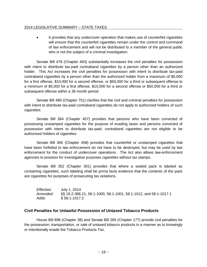It provides that any undercover operation that makes use of counterfeit cigarettes will ensure that the counterfeit cigarettes remain under the control and command of law enforcement and will not be distributed to a member of the general public who is not the subject of a criminal investigation.

Senate Bill 478 (Chapter 463) substantially increases the civil penalties for possession with intent to distribute tax-paid contraband cigarettes by a person other than an authorized holder. This Act increases the civil penalties for possession with intent to distribute tax-paid contraband cigarettes by a person other than the authorized holder from a maximum of \$5,000 for a first offense, \$10,000 for a second offense, or \$50,000 for a third or subsequent offense to a minimum of \$5,000 for a first offense, \$10,000 for a second offense or \$50,000 for a third or subsequent offense within a 36 month period.

Senate Bill 489 (Chapter 751) clarifies that the civil and criminal penalties for possession with intent to distribute tax-paid contraband cigarettes do not apply to authorized holders of such cigarettes.

Senate Bill 364 (Chapter 457) provides that persons who have been convicted of possessing unstamped cigarettes for the purpose of evading taxes and persons convicted of possession with intent to distribute tax-paid, contraband cigarettes are not eligible to be authorized holders of cigarettes.

Senate Bill 365 (Chapter 458) provides that counterfeit or unstamped cigarettes that have been forfeited to law enforcement do not have to be destroyed, but may be used by law enforcement for the conduct of undercover operations. The Act also allows law-enforcement agencies to possess for investigative purposes cigarettes without tax stamps.

Senate Bill 352 (Chapter 301) provides that where a sealed pack is labeled as containing cigarettes, such labeling shall be prima facie evidence that the contents of the pack are cigarettes for purposes of prosecuting tax violations.

| Effective: | July 1, 2014                                                     |
|------------|------------------------------------------------------------------|
| Amended:   | §§ 19.2-386.21, 58.1-1000, 58.1-1001, 58.1-1012, and 58.1-1017.1 |
| Adds:      | $§ 58.1 - 1017.2$                                                |

#### <span id="page-18-0"></span>**Civil Penalties for Unlawful Possession of Untaxed Tobacco Products**

House Bill 898 (Chapter 38) and Senate Bill 285 (Chapter 177) provide civil penalties for the possession, transportation, or sale of untaxed tobacco products in a manner as to knowingly or intentionally evade the Tobacco Products Tax.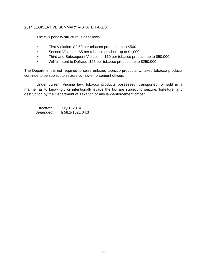The civil penalty structure is as follows:

- First Violation: \$2.50 per tobacco product, up to \$500.
- Second Violation: \$5 per tobacco product, up to \$1,000.
- Third and Subsequent Violations: \$10 per tobacco product, up to \$50,000.
- Willful Intent to Defraud: \$25 per tobacco product, up to \$250,000

The Department is not required to seize untaxed tobacco products. Untaxed tobacco products continue to be subject to seizure by law-enforcement officers

Under current Virginia law, tobacco products possessed, transported, or sold in a manner as to knowingly or intentionally evade the tax are subject to seizure, forfeiture, and destruction by the Department of Taxation or any law-enforcement officer.

*Effective:* July 1, 2014 *Amended:* § 58.1-1021.04:3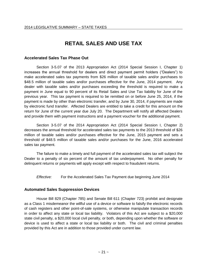## **RETAIL SALES AND USE TAX**

#### <span id="page-20-1"></span><span id="page-20-0"></span>**Accelerated Sales Tax Phase Out**

Section 3-5.07 of the 2013 Appropriation Act (2014 Special Session I, Chapter 1) increases the annual threshold for dealers and direct payment permit holders ("Dealers") to make accelerated sales tax payments from \$26 million of taxable sales and/or purchases to \$48.5 million of taxable sales and/or purchases effective for the June, 2014 payment. Any dealer with taxable sales and/or purchases exceeding the threshold is required to make a payment in June equal to 90 percent of its Retail Sales and Use Tax liability for June of the previous year. This tax payment is required to be remitted on or before June 25, 2014, if the payment is made by other than electronic transfer, and by June 30, 2014, if payments are made by electronic fund transfer. Affected Dealers are entitled to take a credit for this amount on the return for June of the current year due July 20. The Department will notify all affected Dealers and provide them with payment instructions and a payment voucher for the additional payment.

Section 3-5.07 of the 2014 Appropriation Act (2014 Special Session I, Chapter 2) decreases the annual threshold for accelerated sales tax payments to the 2013 threshold of \$26 million of taxable sales and/or purchases effective for the June, 2015 payment and sets a threshold of \$48.5 million of taxable sales and/or purchases for the June, 2016 accelerated sales tax payment.

The failure to make a timely and full payment of the accelerated sales tax will subject the Dealer to a penalty of six percent of the amount of tax underpayment. No other penalty for delinquent returns or payments will apply except with respect to fraudulent returns.

*Effective:* For the Accelerated Sales Tax Payment due beginning June 2014

#### <span id="page-20-2"></span>**Automated Sales Suppression Devices**

House Bill 829 (Chapter 785) and Senate Bill 611 (Chapter 723) prohibit and designate as a Class 1 misdemeanor the willful use of a device or software to falsify the electronic records of cash registers and other point-of-sale systems, or otherwise manipulate transaction records in order to affect any state or local tax liability. Violators of this Act are subject to a \$20,000 state civil penalty, a \$20,000 local civil penalty, or both, depending upon whether the software or device is used to affect a state or local tax liability or both. The civil and criminal penalties provided by this Act are in addition to those provided under current law.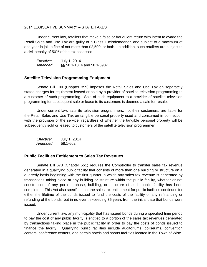Under current law, retailers that make a false or fraudulent return with intent to evade the Retail Sales and Use Tax are guilty of a Class 1 misdemeanor, and subject to a maximum of one year in jail, a fine of not more than \$2,500, or both. In addition, such retailers are subject to a civil penalty of 50% of the tax assessed.

*Effective:* July 1, 2014 *Amended*: §§ 58.1-1814 and 58.1-3907

#### <span id="page-21-0"></span>**Satellite Television Programming Equipment**

Senate Bill 100 (Chapter 359) imposes the Retail Sales and Use Tax on separately stated charges for equipment leased or sold by a provider of satellite television programming to a customer of such programming. Sale of such equipment to a provider of satellite television programming for subsequent sale or lease to its customers is deemed a sale for resale.

Under current law, satellite television programmers, not their customers, are liable for the Retail Sales and Use Tax on tangible personal property used and consumed in connection with the provision of the service, regardless of whether the tangible personal property will be subsequently sold or leased to customers of the satellite television programmer.

*Effective:* July 1, 2014 *Amended*: 58.1-602

#### <span id="page-21-1"></span>**Public Facilities Entitlement to Sales Tax Revenues**

Senate Bill 673 (Chapter 551) requires the Comptroller to transfer sales tax revenue generated in a qualifying public facility that consists of more than one building or structure on a quarterly basis beginning with the first quarter in which any sales tax revenue is generated by transactions taking place at any building or structure within the public facility, whether or not construction of any portion, phase, building, or structure of such public facility has been completed. This Act also specifies that the sales tax entitlement for public facilities continues for either the lifetime of the bonds issued to fund the costs of the facility or any refinancing or refunding of the bonds, but in no event exceeding 35 years from the initial date that bonds were issued.

Under current law, any municipality that has issued bonds during a specified time period to pay the cost of any public facility is entitled to a portion of the sales tax revenues generated by transactions taking place in the public facility in order to pay the costs of bonds issued to finance the facility. Qualifying public facilities include auditoriums, coliseums, convention centers, conference centers, and certain hotels and sports facilities located in the Town of Wise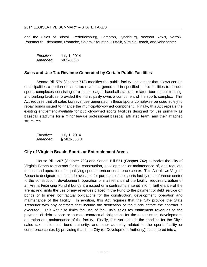and the Cities of Bristol, Fredericksburg, Hampton, Lynchburg, Newport News, Norfolk, Portsmouth, Richmond, Roanoke, Salem, Staunton, Suffolk, Virginia Beach, and Winchester.

| Effective: | July 1, 2014 |
|------------|--------------|
| Amended:   | 58.1-608.3   |

#### <span id="page-22-0"></span>**Sales and Use Tax Revenue Generated by Certain Public Facilities**

Senate Bill 579 (Chapter 718) modifies the public facility entitlement that allows certain municipalities a portion of sales tax revenues generated in specified public facilities to include sports complexes consisting of a minor league baseball stadium, related tournament training, and parking facilities, provided the municipality owns a component of the sports complex. This Act requires that all sales tax revenues generated in these sports complexes be used solely to repay bonds issued to finance the municipality-owned component. Finally, this Act repeals the existing entitlement available for publicly-owned sports facilities designed for use primarily as baseball stadiums for a minor league professional baseball affiliated team, and their attached structures.

| Effective: | July 1, 2014     |
|------------|------------------|
| Amended:   | $§ 58.1 - 608.3$ |

#### <span id="page-22-1"></span>**City of Virginia Beach; Sports or Entertainment Arena**

House Bill 1267 (Chapter 738) and Senate Bill 571 (Chapter 742) authorize the City of Virginia Beach to contract for the construction, development, or maintenance of, and regulate the use and operation of a qualifying sports arena or conference center. This Act allows Virginia Beach to designate funds made available for purposes of the sports facility or conference center to the construction, development, operation or maintenance of the facility; requires creation of an Arena Financing Fund if bonds are issued or a contract is entered into in furtherance of the arena; and limits the use of any revenues placed in the Fund to the payment of debt service on bonds or to meet contractual obligations for the construction, development, operation and maintenance of the facility. In addition, this Act requires that the City provide the State Treasurer with any contracts that include the dedication of the funds before the contract is executed. This Act also limits the use of the City's sales tax entitlement revenues to the payment of debt service or to meet contractual obligations for the construction, development, operation and maintenance of the facility. Finally, this Act extends the deadline for the City's sales tax entitlement, bond authority, and other authority related to the sports facility or conference center, by providing that if the City (or Development Authority) has entered into a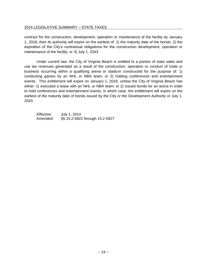contract for the construction, development, operation or maintenance of the facility by January 1, 2018, then its authority will expire on the earliest of: 1) the maturity date of the bonds; 2) the expiration of the City's contractual obligations for the construction development, operation or maintenance of the facility; or 3) July 1, 2043.

Under current law, the City of Virginia Beach is entitled to a portion of state sales and use tax revenues generated as a result of the construction, operation or conduct of trade or business occurring within a qualifying arena or stadium constructed for the purpose of: 1) conducting games by an NHL or NBA team; or 2) holding conferences and entertainment events. This entitlement will expire on January 1, 2018, unless the City of Virginia Beach has either: 1) executed a lease with an NHL or NBA team; or 2) issued bonds for an arena in order to hold conferences and entertainment events, in which case, the entitlement will expire on the earliest of the maturity date of bonds issued by the City or the Development Authority or July 1, 2043.

*Effective*: July 1, 2014 *Amended*: §§ 15.2-5922 through 15.2-5927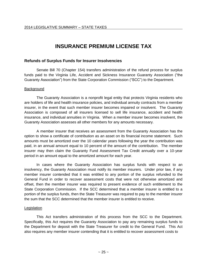## **INSURANCE PREMIUM LICENSE TAX**

#### <span id="page-24-1"></span><span id="page-24-0"></span>**Refunds of Surplus Funds for Insurer Insolvencies**

Senate Bill 70 (Chapter 154) transfers administration of the refund process for surplus funds paid to the Virginia Life, Accident and Sickness Insurance Guaranty Association ("the Guaranty Association") from the State Corporation Commission ("SCC") to the Department.

#### Background

The Guaranty Association is a nonprofit legal entity that protects Virginia residents who are holders of life and health insurance policies, and individual annuity contracts from a member insurer, in the event that such member insurer becomes impaired or insolvent. The Guaranty Association is composed of all insurers licensed to sell life insurance, accident and health insurance, and individual annuities in Virginia. When a member insurer becomes insolvent, the Guaranty Association assesses all other members for any amounts necessary.

A member insurer that receives an assessment from the Guaranty Association has the option to show a certificate of contribution as an asset on its financial income statement. Such amounts must be amortized over the 10 calendar years following the year the contribution was paid, in an annual amount equal to 10 percent of the amount of the contribution. The member insurer may then claim the Guaranty Fund Assessment Tax Credit annually over a 10-year period in an amount equal to the amortized amount for each year.

In cases where the Guaranty Association has surplus funds with respect to an insolvency, the Guaranty Association must notify its member insurers. Under prior law, if any member insurer contended that it was entitled to any portion of the surplus refunded to the General Fund in order to recover assessment costs that were not otherwise amortized and offset, then the member insurer was required to present evidence of such entitlement to the State Corporation Commission. If the SCC determined that a member insurer is entitled to a portion of the surplus funds, then the State Treasurer was required to pay to the member insurer the sum that the SCC determined that the member insurer is entitled to receive.

#### Legislation

This Act transfers administration of this process from the SCC to the Department. Specifically, this Act requires the Guaranty Association to pay any remaining surplus funds to the Department for deposit with the State Treasurer for credit to the General Fund. This Act also requires any member insurer contending that it is entitled to recover assessment costs to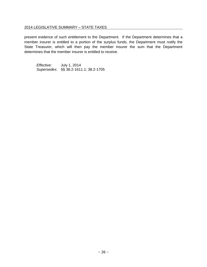present evidence of such entitlement to the Department. If the Department determines that a member insurer is entitled to a portion of the surplus funds, the Department must notify the State Treasurer, which will then pay the member insurer the sum that the Department determines that the member insurer is entitled to receive.

*Effective:* July 1, 2014 *Supersedes:* §§ 38.2-1611.1; 38.2-1705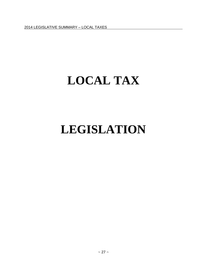## <span id="page-26-0"></span>**LOCAL TAX**

## **LEGISLATION**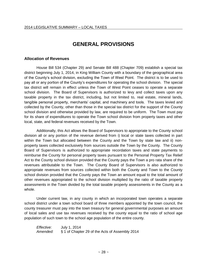## **GENERAL PROVISIONS**

#### <span id="page-27-1"></span><span id="page-27-0"></span>**Allocation of Revenues**

House Bill 534 (Chapter 29) and Senate Bill 488 (Chapter 709) establish a special tax district beginning July 1, 2014, in King William County with a boundary of the geographical area of the County's school division, excluding the Town of West Point. The district is to be used to pay all or any portion of the County's expenditures for operating the school division. The special tax district will remain in effect unless the Town of West Point ceases to operate a separate school division. The Board of Supervisors is authorized to levy and collect taxes upon any taxable property in the tax district, including, but not limited to, real estate, mineral lands, tangible personal property, merchants' capital, and machinery and tools. The taxes levied and collected by the County, other than those in the special tax district for the support of the County school division and otherwise provided by law, are required to be uniform. The Town must pay for its share of expenditures to operate the Town school division from property taxes and other local, state, and federal revenues received by the Town.

Additionally, this Act allows the Board of Supervisors to appropriate to the County school division all or any portion of the revenue derived from i) local or state taxes collected in part within the Town but allocated between the County and the Town by state law and ii) nonproperty taxes collected exclusively from sources outside the Town by the County. The County Board of Supervisors is authorized to appropriate recordation taxes and state payments to reimburse the County for personal property taxes pursuant to the Personal Property Tax Relief Act to the County school division provided that the County pays the Town a pro rata share of the revenues attributable to the Town. The County Board of Supervisors is also authorized to appropriate revenues from sources collected within both the County and Town to the County school division provided that the County pays the Town an amount equal to the total amount of other revenues appropriated to the school division multiplied by the ratio of taxable property assessments in the Town divided by the total taxable property assessments in the County as a whole.

Under current law, in any county in which an incorporated town operates a separate school district under a town school board of three members appointed by the town council, the county treasurer must pay into the town treasury for general governmental purposes an amount of local sales and use tax revenues received by the county equal to the ratio of school age population of such town to the school age population of the entire county.

*Effective:* July 1, 2014 *Amended:* § 1 of Chapter 29 of the Acts of Assembly 2014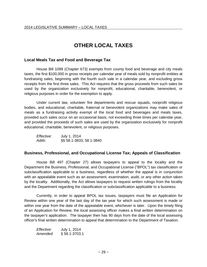## **OTHER LOCAL TAXES**

#### <span id="page-28-1"></span><span id="page-28-0"></span>**Local Meals Tax and Food and Beverage Tax**

House Bill 1099 (Chapter 673) exempts from county food and beverage and city meals taxes, the first \$100,000 in gross receipts per calendar year of meals sold by nonprofit entities at fundraising sales, beginning with the fourth such sale in a calendar year, and excluding gross receipts from the first three sales. This Act requires that the gross proceeds from such sales be used by the organization exclusively for nonprofit, educational, charitable, benevolent, or religious purposes in order for the exemption to apply.

Under current law, volunteer fire departments and rescue squads, nonprofit religious bodies, and educational, charitable, fraternal or benevolent organizations may make sales of meals as a fundraising activity exempt of the local food and beverages and meals taxes, provided such sales occur on an occasional basis, not exceeding three times per calendar year, and provided the proceeds of such sales are used by the organization exclusively for nonprofit educational, charitable, benevolent, or religious purposes.

| <i>Effective:</i> | July 1, 2014            |
|-------------------|-------------------------|
| Adds:             | §§ 58.1-3833, 58.1-3840 |

#### <span id="page-28-2"></span>**Business, Professional, and Occupational License Tax; Appeals of Classification**

House Bill 497 (Chapter 27) allows taxpayers to appeal to the locality and the Department the Business, Professional, and Occupational License ("BPOL") tax classification or subclassification applicable to a business, regardless of whether the appeal is in conjunction with an appealable event such as an assessment, examination, audit, or any other action taken by the locality. Additionally, the Act allows taxpayers to request written rulings from the locality and the Department regarding the classification or subclassification applicable to a business.

Currently, in order to appeal BPOL tax issues, taxpayers must file an Application for Review within one year of the last day of the tax year for which such assessment is made or within one year from the date of the appealable event, whichever is later. Upon the timely filing of an Application for Review, the local assessing officer makes a final written determination on the taxpayer's application. The taxpayer then has 90 days from the date of the local assessing officer's final written determination to appeal that determination to the Department of Taxation.

*Effective:* July 1, 2014 *Amended:* § 58.1-3703.1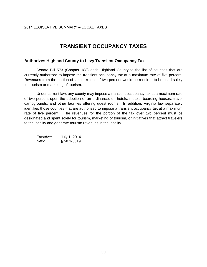## **TRANSIENT OCCUPANCY TAXES**

#### <span id="page-29-1"></span><span id="page-29-0"></span>**Authorizes Highland County to Levy Transient Occupancy Tax**

Senate Bill 573 (Chapter 188) adds Highland County to the list of counties that are currently authorized to impose the transient occupancy tax at a maximum rate of five percent. Revenues from the portion of tax in excess of two percent would be required to be used solely for tourism or marketing of tourism.

Under current law, any county may impose a transient occupancy tax at a maximum rate of two percent upon the adoption of an ordinance, on hotels, motels, boarding houses, travel campgrounds, and other facilities offering guest rooms. In addition, Virginia law separately identifies those counties that are authorized to impose a transient occupancy tax at a maximum rate of five percent. The revenues for the portion of the tax over two percent must be designated and spent solely for tourism, marketing of tourism, or initiatives that attract travelers to the locality and generate tourism revenues in the locality.

| <i>Effective:</i> | July 1, 2014    |
|-------------------|-----------------|
| New:              | $§ 58.1 - 3819$ |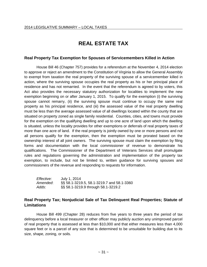## **REAL ESTATE TAX**

#### <span id="page-30-1"></span><span id="page-30-0"></span>**Real Property Tax Exemption for Spouses of Servicemembers Killed in Action**

House Bill 46 (Chapter 757) provides for a referendum at the November 4, 2014 election to approve or reject an amendment to the Constitution of Virginia to allow the General Assembly to exempt from taxation the real property of the surviving spouse of a servicemember killed in action, where the surviving spouse occupies the real property as his or her principal place of residence and has not remarried. In the event that the referendum is agreed to by voters, this Act also provides the necessary statutory authorization for localities to implement the new exemption beginning on or after January 1, 2015. To qualify for the exemption (i) the surviving spouse cannot remarry, (ii) the surviving spouse must continue to occupy the same real property as his principal residence, and (iii) the assessed value of the real property dwelling must be less than the average assessed value of all dwellings located within the county that are situated on property zoned as single family residential. Counties, cities, and towns must provide for the exemption on the qualifying dwelling and up to one acre of land upon which the dwelling is situated, unless the locality provides for other exemptions or deferrals of real property taxes of more than one acre of land. If the real property is jointly owned by one or more persons and not all persons qualify for the exemption, then the exemption must be prorated based on the ownership interest of all joint owners. The surviving spouse must claim the exemption by filing forms and documentation with the local commissioner of revenue to demonstrate his qualifications. The Commissioner of the Department of Veterans Services shall promulgate rules and regulations governing the administration and implementation of the property tax exemption, to include, but not be limited to, written guidance for surviving spouses and commissioners of the revenue and responding to requests for information.

| Effective: | July 1, 2014                              |
|------------|-------------------------------------------|
| Amended:   | §§ 58.1-3219.5, 58.1-3219.7 and 58.1-3360 |
| Adds:      | §§ 58.1-3219.9 through 58.1-3219.2        |

#### <span id="page-30-2"></span>**Real Property Tax; Nonjudicial Sale of Tax Delinquent Real Properties; Statute of Limitations**

House Bill 499 (Chapter 28) reduces from five years to three years the period of tax delinquency before a local treasurer or other officer may publicly auction any unimproved parcel of real property that is assessed at less than \$10,000 and that either measures less than 4,000 square feet or is a parcel of any size that is determined to be unsuitable for building due to its size, shape, zoning, or soils.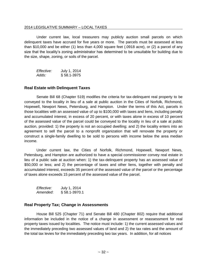#### 2014 LEGISLATIVE SUMMARY – LOCAL TAXES

Under current law, local treasurers may publicly auction small parcels on which delinquent taxes have accrued for five years or more. The parcels must be assessed at less than \$10,000 and be either (1) less than 4,000 square feet (.0918 acre), or (2) a parcel of any size that the locality's zoning administrator has determined to be unsuitable for building due to the size, shape, zoning, or soils of the parcel.

| <i>Effective:</i> | July 1, 2014    |
|-------------------|-----------------|
| Adds:             | $§ 58.1 - 3975$ |

#### <span id="page-31-0"></span>**Real Estate with Delinquent Taxes**

Senate Bill 68 (Chapter 519) modifies the criteria for tax-delinquent real property to be conveyed to the locality in lieu of a sale at public auction in the Cities of Norfolk, Richmond, Hopewell, Newport News, Petersburg, and Hampton. Under the terms of this Act, parcels in those localities with an assessed value of up to \$100,000 with taxes and liens, including penalty and accumulated interest, in excess of 20 percent, or with taxes alone in excess of 10 percent of the assessed value of the parcel could be conveyed to the locality in lieu of a sale at public auction, provided: 1) the property is not an occupied dwelling; and 2) the locality enters into an agreement to sell the parcel to a nonprofit organization that will renovate the property or construct a single-family dwelling to be sold to persons with income below the area median income.

Under current law, the Cities of Norfolk, Richmond, Hopewell, Newport News, Petersburg, and Hampton are authorized to have a special commissioner convey real estate in lieu of a public sale at auction when: 1) the tax-delinquent property has an assessed value of \$50,000 or less; and 2) the percentage of taxes and other liens, together with penalty and accumulated interest, exceeds 35 percent of the assessed value of the parcel or the percentage of taxes alone exceeds 15 percent of the assessed value of the parcel.

| <i>Effective:</i> | July 1, 2014      |
|-------------------|-------------------|
| Amended:          | $§ 58.1 - 3970.1$ |

#### <span id="page-31-1"></span>**Real Property Tax; Change in Assessments**

House Bill 525 (Chapter 71) and Senate Bill 480 (Chapter 802) require that additional information be included in the notice of a change in assessment or reassessment for real property taxes issued by localities. The notice must include: 1) the current assessed values and the immediately preceding two assessed values of land and 2) the tax rates and the amount of the total tax levies for the immediately preceding two tax years. In addition, for all notices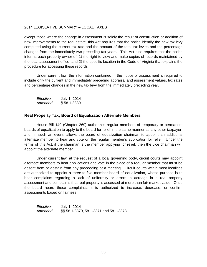#### 2014 LEGISLATIVE SUMMARY – LOCAL TAXES

except those where the change in assessment is solely the result of construction or addition of new improvements to the real estate, this Act requires that the notice identify the new tax levy computed using the current tax rate and the amount of the total tax levies and the percentage changes from the immediately two preceding tax years. This Act also requires that the notice informs each property owner of: 1) the right to view and make copies of records maintained by the local assessment office; and 2) the specific location in the Code of Virginia that explains the procedure for accessing these records.

Under current law, the information contained in the notice of assessment is required to include only the current and immediately preceding appraisal and assessment values, tax rates and percentage changes in the new tax levy from the immediately preceding year.

| Effective: | July 1, 2014    |
|------------|-----------------|
| Amended:   | $§ 58.1 - 3330$ |

#### <span id="page-32-0"></span>**Real Property Tax; Board of Equalization Alternate Members**

House Bill 149 (Chapter 269) authorizes regular members of temporary or permanent boards of equalization to apply to the board for relief in the same manner as any other taxpayer, and, in such an event, allows the board of equalization chairman to appoint an additional alternate member to hear and vote on the regular member's application for relief. Under the terms of this Act, if the chairman is the member applying for relief, then the vice chairman will appoint the alternate member.

Under current law, at the request of a local governing body, circuit courts may appoint alternate members to hear applications and vote in the place of a regular member that must be absent from or abstain from any proceeding at a meeting. Circuit courts within most localities are authorized to appoint a three-to-five member board of equalization, whose purpose is to hear complaints regarding a lack of uniformity or errors in acreage in a real property assessment and complaints that real property is assessed at more than fair market value. Once the board hears these complaints, it is authorized to increase, decrease, or confirm assessments based on fairness.

*Effective:* July 1, 2014 *Amended:* §§ 58.1-3370, 58.1-3371 and 58.1-3373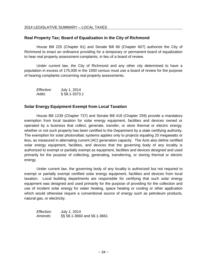#### <span id="page-33-0"></span>**Real Property Tax; Board of Equalization in the City of Richmond**

House Bill 225 (Chapter 61) and Senate Bill 66 (Chapter 607) authorize the City of Richmond to enact an ordinance providing for a temporary or permanent board of equalization to hear real property assessment complaints, in lieu of a board of review.

Under current law, the City of Richmond and any other city determined to have a population in excess of 175,000 in the 1930 census must use a board of review for the purpose of hearing complaints concerning real property assessments.

| <i>Effective:</i> | July 1, 2014      |
|-------------------|-------------------|
| Adds:             | $§ 58.1 - 3373.1$ |

#### <span id="page-33-1"></span>**Solar Energy Equipment Exempt from Local Taxation**

House Bill 1239 (Chapter 737) and Senate Bill 418 (Chapter 259) provide a mandatory exemption from local taxation for solar energy equipment, facilities and devices owned or operated by a business that collect, generate, transfer, or store thermal or electric energy, whether or not such property has been certified to the Department by a state certifying authority. The exemption for solar photovoltaic systems applies only to projects equaling 20 megawatts or less, as measured in alternating current (AC) generation capacity. The Acts also define certified solar energy equipment, facilities, and devices that the governing body of any locality is authorized to exempt or partially exempt as equipment, facilities and devices designed and used primarily for the purpose of collecting, generating, transferring, or storing thermal or electric energy.

Under current law, the governing body of any locality is authorized but not required to exempt or partially exempt certified solar energy equipment, facilities and devices from local taxation. Local building departments are responsible for certifying that such solar energy equipment was designed and used primarily for the purpose of providing for the collection and use of incident solar energy for water heating, space heating or cooling or other application which would otherwise require a conventional source of energy such as petroleum products, natural gas, or electricity.

*Effective*: July 1, 2014 *Amends*: §§ 58.1-3660 and 58.1-3661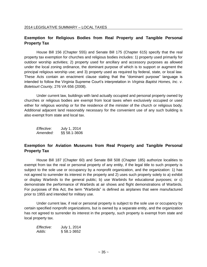#### <span id="page-34-0"></span>**Exemption for Religious Bodies from Real Property and Tangible Personal Property Tax**

House Bill 156 (Chapter 555) and Senate Bill 175 (Chapter 615) specify that the real property tax exemption for churches and religious bodies includes: 1) property used primarily for outdoor worship activities; 2) property used for ancillary and accessory purposes as allowed under the local zoning ordinance, the dominant purpose of which is to support or augment the principal religious worship use; and 3) property used as required by federal, state, or local law. These Acts contain an enactment clause stating that the "dominant purpose" language is intended to follow the Virginia Supreme Court's interpretation in *Virginia Baptist Homes, Inc*. *v*. *Botetourt County*, 276 VA 656 (2008).

Under current law, buildings with land actually occupied and personal property owned by churches or religious bodies are exempt from local taxes when exclusively occupied or used either for religious worship or for the residence of the minister of the church or religious body. Additional adjacent land reasonably necessary for the convenient use of any such building is also exempt from state and local tax.

*Effective:* July 1, 2014 *Amended:* §§ 58.1-3606

#### <span id="page-34-1"></span>**Exemption for Aviation Museums from Real Property and Tangible Personal Property Tax**

House Bill 187 (Chapter 60) and Senate Bill 508 (Chapter 185) authorize localities to exempt from tax the real or personal property of any entity, if the legal title to such property is subject to the sole use or occupancy by a nonprofit organization, and the organization: 1) has not agreed to surrender its interest in the property and 2) uses such property solely to a) exhibit or display Warbirds to the general public; b) use Warbirds for educational purposes; or c) demonstrate the performance of Warbirds at air shows and flight demonstrations of Warbirds. For purposes of this Act, the term "Warbirds" is defined as airplanes that were manufactured prior to 1955 and intended for military use.

Under current law, if real or personal property is subject to the sole use or occupancy by certain specified nonprofit organizations, but is owned by a separate entity, and the organization has not agreed to surrender its interest in the property, such property is exempt from state and local property tax.

*Effective:* July 1, 2014 *Adds:* § 58.1-3652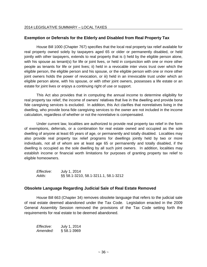#### <span id="page-35-0"></span>**Exemption or Deferrals for the Elderly and Disabled from Real Property Tax**

House Bill 1000 (Chapter 767) specifies that the local real property tax relief available for real property owned solely by taxpayers aged 65 or older or permanently disabled, or held jointly with other taxpayers, extends to real property that is i) held by the eligible person alone, with his spouse as tenant(s) for life or joint lives, or held in conjunction with one or more other people as tenants for life or joint lives; ii) held in a revocable inter vivos trust over which the eligible person, the eligible person and his spouse, or the eligible person with one or more other joint owners holds the power of revocation, or iii) held in an irrevocable trust under which an eligible person alone, with his spouse, or with other joint owners, possesses a life estate or an estate for joint lives or enjoys a continuing right of use or support.

This Act also provides that in computing the annual income to determine eligibility for real property tax relief, the income of owners' relatives that live in the dwelling and provide bona fide caregiving services is excluded. In addition, this Act clarifies that nonrelatives living in the dwelling, who provide bona fide caregiving services to the owner are not included in the income calculation, regardless of whether or not the nonrelative is compensated.

Under current law, localities are authorized to provide real property tax relief in the form of exemptions, deferrals, or a combination for real estate owned and occupied as the sole dwelling of anyone at least 65 years of age, or permanently and totally disabled. Localities may also provide real property tax relief programs for dwellings jointly held by two or more individuals, not all of whom are at least age 65 or permanently and totally disabled, if the dwelling is occupied as the sole dwelling by all such joint owners. In addition, localities may establish income or financial worth limitations for purposes of granting property tax relief to eligible homeowners.

*Effective:* July 1, 2014 *Adds:* §§ 58.1-3210, 58.1-3211.1, 58.1-3212

#### <span id="page-35-1"></span>**Obsolete Language Regarding Judicial Sale of Real Estate Removed**

House Bill 663 (Chapter 34) removes obsolete language that refers to the judicial sale of real estate deemed abandoned under the Tax Code. Legislation enacted in the 2009 General Assembly Session removed the provisions of the Tax Code setting forth the requirements for real estate to be deemed abandoned.

*Effective:* July 1, 2014 *Amended:* § 58.1-3969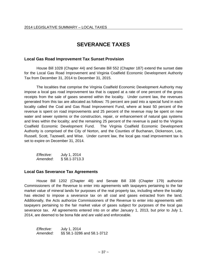## **SEVERANCE TAXES**

#### <span id="page-36-1"></span><span id="page-36-0"></span>**Local Gas Road Improvement Tax Sunset Provision**

House Bill 1028 (Chapter 44) and Senate Bill 552 (Chapter 187) extend the sunset date for the Local Gas Road Improvement and Virginia Coalfield Economic Development Authority Tax from December 31, 2014 to December 31, 2015.

The localities that comprise the Virginia Coalfield Economic Development Authority may impose a local gas road improvement tax that is capped at a rate of one percent of the gross receipts from the sale of gases severed within the locality. Under current law, the revenues generated from this tax are allocated as follows: 75 percent are paid into a special fund in each locality called the Coal and Gas Road Improvement Fund, where at least 50 percent of the revenue is spent on road improvements and 25 percent of the revenue may be spent on new water and sewer systems or the construction, repair, or enhancement of natural gas systems and lines within the locality; and the remaining 25 percent of the revenue is paid to the Virginia Coalfield Economic Development Fund. The Virginia Coalfield Economic Development Authority is comprised of the City of Norton, and the Counties of Buchanan, Dickenson, Lee, Russell, Scott, Tazewell, and Wise. Under current law, the local gas road improvement tax is set to expire on December 31, 2014.

| <i>Effective:</i> | July 1, 2014  |
|-------------------|---------------|
| Amended:          | § 58.1-3713.3 |

#### <span id="page-36-2"></span>**Local Gas Severance Tax Agreements**

House Bill 1202 (Chapter 48) and Senate Bill 338 (Chapter 179) authorize Commissioners of the Revenue to enter into agreements with taxpayers pertaining to the fair market value of mineral lands for purposes of the real property tax, including where the locality has elected to impose a severance tax on all coal and gases extracted from the land. Additionally, the Acts authorize Commissioners of the Revenue to enter into agreements with taxpayers pertaining to the fair market value of gases subject for purposes of the local gas severance tax. All agreements entered into on or after January 1, 2013, but prior to July 1, 2014, are deemed to be bona fide and are valid and enforceable.

*Effective:* July 1, 2014 *Amended:* §§ 58.1-3286 and 58.1-3712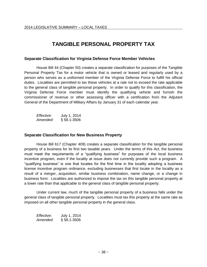## **TANGIBLE PERSONAL PROPERTY TAX**

#### <span id="page-37-1"></span><span id="page-37-0"></span>**Separate Classification for Virginia Defense Force Member Vehicles**

House Bill 44 (Chapter 50) creates a separate classification for purposes of the Tangible Personal Property Tax for a motor vehicle that is owned or leased and regularly used by a person who serves as a uniformed member of the Virginia Defense Force to fulfill his official duties. Localities are permitted to tax these vehicles at a rate not to exceed the rate applicable to the general class of tangible personal property. In order to qualify for this classification, the Virginia Defense Force member must identify the qualifying vehicle and furnish the commissioner of revenue or other assessing officer with a certification from the Adjutant General of the Department of Military Affairs by January 31 of each calendar year.

*Effective:* July 1, 2014 *Amended:* § 58.1-3506

#### <span id="page-37-2"></span>**Separate Classification for New Business Property**

House Bill 617 (Chapter 409) creates a separate classification for the tangible personal property of a business for its first two taxable years. Under the terms of this Act, the business must meet the requirements of a "qualifying business" for purposes of the local business incentive program, even if the locality at issue does not currently provide such a program. A "qualifying business" is one that locates for the first time in the locality adopting a business license incentive program ordinance, excluding businesses that first locate in the locality as a result of a merger, acquisition, similar business combination, name change, or a change in business form. Localities are authorized to impose the tax on this tangible personal property at a lower rate than that applicable to the general class of tangible personal property.

Under current law, much of the tangible personal property of a business falls under the general class of tangible personal property. Localities must tax this property at the same rate as imposed on all other tangible personal property in the general class.

*Effective:* July 1, 2014 *Amended:* § 58.1-3506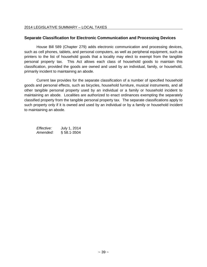#### <span id="page-38-0"></span>**Separate Classification for Electronic Communication and Processing Devices**

House Bill 589 (Chapter 279) adds electronic communication and processing devices, such as cell phones, tablets, and personal computers, as well as peripheral equipment, such as printers to the list of household goods that a locality may elect to exempt from the tangible personal property tax. This Act allows each class of household goods to maintain this classification, provided the goods are owned and used by an individual, family, or household, primarily incident to maintaining an abode.

Current law provides for the separate classification of a number of specified household goods and personal effects, such as bicycles, household furniture, musical instruments, and all other tangible personal property used by an individual or a family or household incident to maintaining an abode. Localities are authorized to enact ordinances exempting the separately classified property from the tangible personal property tax. The separate classifications apply to such property only if it is owned and used by an individual or by a family or household incident to maintaining an abode.

*Effective:* July 1, 2014 *Amended:* § 58.1-3504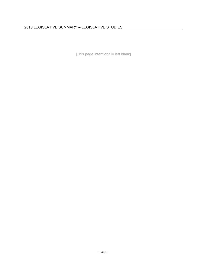### 2013 LEGISLATIVE SUMMARY – LEGISLATIVE STUDIES

[This page intentionally left blank]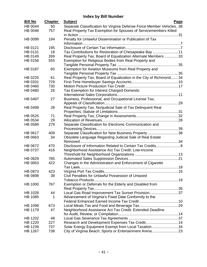## **Index by Bill Number**

| <b>Bill No</b> | <b>Chapter</b> | <b>Subject</b>                                                       | <b>Page</b> |
|----------------|----------------|----------------------------------------------------------------------|-------------|
| <b>HB 0044</b> | 50             | Separate Classification for Virginia Defense Force Member Vehicles38 |             |
| HB 0046        | 757            | Real Property Tax Exemption for Spouses of Servicemembers Killed     |             |
| HB 0099        | 194            | Penalty for Unlawful Dissemination or Publication of Tax             |             |
|                |                |                                                                      |             |
| HB 0121        | 195            |                                                                      |             |
| HB 0131        | 18             | Tax Contributions for Restoration of Chesapeake Bay 11               |             |
| HB 0149        | 269            | Real Property Tax; Board of Equalization Alternate Members 33        |             |
| HB 0156        | 555            | Exemption for Religious Bodies from Real Property and                |             |
|                |                |                                                                      |             |
| <b>HB 0187</b> | 60             | Exemption for Aviation Museums from Real Property and                |             |
|                |                |                                                                      |             |
| HB 0225        | 61             | Real Property Tax; Board of Equalization in the City of Richmond34   |             |
| HB 0331        | 729            |                                                                      |             |
| <b>HB 0460</b> | 730            |                                                                      |             |
| HB 0480        | 26             | Tax Exemption for Interest Charged-Domestic                          |             |
|                |                |                                                                      |             |
| <b>HB 0497</b> | 27             | Business, Professional, and Occupational License Tax;                |             |
|                |                |                                                                      |             |
| HB 0499        | 28             | Real Property Tax; Nonjudicial Sale of Tax Delinquent Real           |             |
|                |                |                                                                      |             |
| HB 0525        | 71             |                                                                      |             |
| HB 0534        | 29             |                                                                      |             |
| HB 0589        | 279            | Separate Classification for Electronic Communication and             |             |
|                |                |                                                                      |             |
| HB 0617        | 409            | Separate Classification for New Business Property 38                 |             |
| HB 0663        | 34             | Obsolete Language Regarding Judicial Sale of Real Estate             |             |
|                |                |                                                                      |             |
| HB 0672        | 470            | Disclosure of Information Related to Certain Tax Credits8            |             |
| <b>HB 0737</b> | 416            | Neighborhood Assistance Act Tax Credit: Low-Income                   |             |
|                |                |                                                                      |             |
| HB 0829        | 785            |                                                                      |             |
| HB 0853        | 422            | Changes in the Administration and Enforcement of Cigarette           |             |
|                |                |                                                                      |             |
| <b>HB 0873</b> | 423            |                                                                      |             |
| <b>HB 0898</b> | 38             | Civil Penalties for Unlawful Possession of Untaxed                   |             |
|                |                |                                                                      |             |
| <b>HB 1000</b> | 767            | Exemption or Deferrals for the Elderly and Disabled from             |             |
|                |                |                                                                      |             |
| HB 1028        | 44             | Local Gas Road Improvement Tax Sunset Provision37                    |             |
| <b>HB 1085</b> | 1              | Advancement of Virginia's Fixed Date Conformity to the               |             |
|                |                |                                                                      |             |
| HB 1099        | 673            |                                                                      |             |
| <b>HB 1179</b> | 47             | Neighborhood Assistance Act Tax Credit: Extended Deadline            |             |
|                |                |                                                                      |             |
| HB 1202        | 48             |                                                                      |             |
| <b>HB 1220</b> | 227            | Research and Development Expenses Tax Credit 14                      |             |
| HB 1239        | 737            | Solar Energy Equipment Exempt from Local Taxation34                  |             |
| <b>HB 1267</b> | 738            | City of Virginia Beach; Sports or Entertainment Arena23              |             |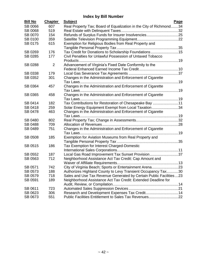## **Index by Bill Number**

| <b>Bill No</b> | <b>Chapter</b> | <b>Subject</b>                                                      | Page |
|----------------|----------------|---------------------------------------------------------------------|------|
| <b>SB 0066</b> | 607            | Real Property Tax; Board of Equalization in the City of Richmond34  |      |
| <b>SB 0068</b> | 519            |                                                                     |      |
| SB 0070        | 154            | Refunds of Surplus Funds for Insurer Insolvencies25                 |      |
| SB 0100        | 359            |                                                                     |      |
| SB 0175        | 615            | Exemption for Religious Bodies from Real Property and               |      |
|                |                |                                                                     |      |
| SB 0269        | 176            | Tax Credit for Donations to Scholarship Foundations15               |      |
| SB 0285        | 177            | Civil Penalties for Unlawful Possession of Untaxed Tobacco          |      |
|                |                |                                                                     |      |
| SB 0288        | $\overline{2}$ | Advancement of Virginia's Fixed Date Conformity to the              |      |
|                |                |                                                                     |      |
| SB 0338        | 179            |                                                                     |      |
| SB 0352        | 301            | Changes in the Administration and Enforcement of Cigarette          |      |
|                |                |                                                                     |      |
| SB 0364        | 457            | Changes in the Administration and Enforcement of Cigarette          |      |
|                |                |                                                                     |      |
| SB 0365        | 458            | Changes in the Administration and Enforcement of Cigarette          |      |
|                |                |                                                                     |      |
| SB 0414        | 182            | Tax Contributions for Restoration of Chesapeake Bay 11              |      |
| SB 0418        | 259            | Solar Energy Equipment Exempt from Local Taxation34                 |      |
| SB 0478        | 463            | Changes in the Administration and Enforcement of Cigarette          |      |
|                |                |                                                                     |      |
| SB 0480        | 802            |                                                                     |      |
| SB 0488        | 709            |                                                                     |      |
| SB 0489        | 751            | Changes in the Administration and Enforcement of Cigarette          |      |
|                |                |                                                                     |      |
| SB 0508        | 185            | Exemption for Aviation Museums from Real Property and               |      |
|                |                |                                                                     |      |
| SB 0515        | 186            | Tax Exemption for Interest Charged-Domestic                         |      |
|                |                |                                                                     |      |
| SB 0552        | 187            | Local Gas Road Improvement Tax Sunset Provision37                   |      |
| SB 0563        | 712            | Neighborhood Assistance Act Tax Credit: Cap Amount and              |      |
|                |                |                                                                     |      |
| SB 0571        | 742            |                                                                     |      |
| SB 0573        | 188            | Authorizes Highland County to Levy Transient Occupancy Tax30        |      |
| SB 0579        | 718            | Sales and Use Tax Revenue Generated by Certain Public Facilities 23 |      |
| SB 0591        | 189            | Neighborhood Assistance Act Tax Credit: Extended Deadline for       |      |
|                |                |                                                                     |      |
| SB 0611        | 723            |                                                                     |      |
| SB 0623        | 306            | Research and Development Expenses Tax Credit 14                     |      |
| SB 0673        | 551            | Public Facilities Entitlement to Sales Tax Revenues22               |      |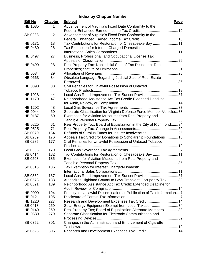## **Index by Chapter Number**

| <b>Bill No</b> | <b>Chapter</b> | <b>Subject</b>                                                        | Page |
|----------------|----------------|-----------------------------------------------------------------------|------|
| <b>HB 1085</b> | 1              | Advancement of Virginia's Fixed Date Conformity to the                |      |
|                |                |                                                                       |      |
| SB 0288        | $\overline{2}$ | Advancement of Virginia's Fixed Date Conformity to the                |      |
|                |                |                                                                       |      |
| HB 0131        | 18             | Tax Contributions for Restoration of Chesapeake Bay 11                |      |
| HB 0480        | 26             | Tax Exemption for Interest Charged-Domestic                           |      |
|                |                |                                                                       |      |
| HB 0497        | 27             | Business, Professional, and Occupational License Tax;                 |      |
|                |                |                                                                       |      |
| HB 0499        | 28             | Real Property Tax; Nonjudicial Sale of Tax Delinquent Real            |      |
|                |                |                                                                       |      |
| HB 0534        | 29             |                                                                       |      |
| HB 0663        | 34             | Obsolete Language Regarding Judicial Sale of Real Estate              |      |
|                |                |                                                                       |      |
| <b>HB 0898</b> | 38             | Civil Penalties for Unlawful Possession of Untaxed                    |      |
|                |                |                                                                       |      |
| HB 1028        | 44             | Local Gas Road Improvement Tax Sunset Provision37                     |      |
| <b>HB 1179</b> | 47             | Neighborhood Assistance Act Tax Credit: Extended Deadline             |      |
|                |                |                                                                       |      |
| HB 1202        | 48             |                                                                       |      |
| HB 0044        | 50             | Separate Classification for Virginia Defense Force Member Vehicles38  |      |
| <b>HB 0187</b> | 60             | Exemption for Aviation Museums from Real Property and                 |      |
|                |                |                                                                       |      |
| HB 0225        | 61             | Real Property Tax; Board of Equalization in the City of Richmond34    |      |
| HB 0525        | 71             |                                                                       |      |
| SB 0070        | 154            | Refunds of Surplus Funds for Insurer Insolvencies25                   |      |
| SB 0269        | 176            | Appeals Tax Credit for Donations to Scholarship Foundations 15        |      |
| SB 0285        | 177            | Civil Penalties for Unlawful Possession of Untaxed Tobacco            |      |
|                |                |                                                                       |      |
| SB 0338        | 179            |                                                                       |      |
| SB 0414        | 182            | Tax Contributions for Restoration of Chesapeake Bay 11                |      |
| SB 0508        | 185            | Exemption for Aviation Museums from Real Property and                 |      |
|                |                |                                                                       |      |
| SB 0515        | 186            | Tax Exemption for Interest Charged-Domestic                           |      |
|                |                |                                                                       |      |
| SB 0552        | 187            | Local Gas Road Improvement Tax Sunset Provision37                     |      |
| SB 0573        | 188            | Authorizes Highland County to Levy Transient Occupancy Tax30          |      |
| SB 0591        | 189            | Neighborhood Assistance Act Tax Credit: Extended Deadline for         |      |
|                |                |                                                                       |      |
| HB 0099        | 194            | Penalty for Unlawful Dissemination or Publication of Tax Information7 |      |
| HB 0121        | 195            |                                                                       |      |
| <b>HB 1220</b> | 227            | Research and Development Expenses Tax Credit 14                       |      |
| SB 0418        | 259            | Solar Energy Equipment Exempt from Local Taxation34                   |      |
| HB 0149        | 269            | Real Property Tax; Board of Equalization Alternate Members 33         |      |
| HB 0589        | 279            | Separate Classification for Electronic Communication and              |      |
|                |                |                                                                       |      |
| SB 0352        | 301            | Changes in the Administration and Enforcement of Cigarette            |      |
|                |                |                                                                       |      |
| SB 0623        | 306            | Research and Development Expenses Tax Credit  14                      |      |